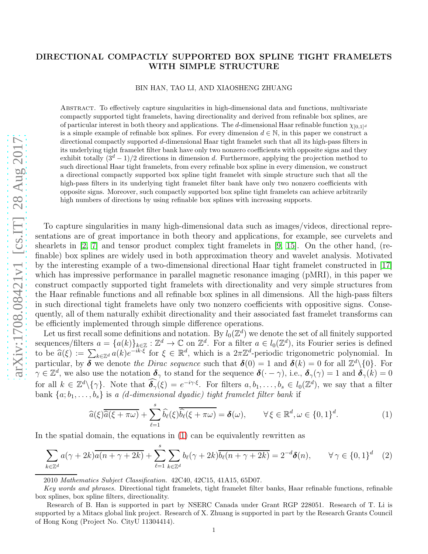## DIRECTIONAL COMPACTLY SUPPORTED BOX SPLINE TIGHT FRAMELETS WITH SIMPLE STRUCTURE

## BIN HAN, TAO LI, AND XIAOSHENG ZHUANG

Abstract. To effectively capture singularities in high-dimensional data and functions, multivariate compactly supported tight framelets, having directionality and derived from refinable box splines, are of particular interest in both theory and applications. The d-dimensional Haar refinable function  $\chi_{[0,1]^d}$ is a simple example of refinable box splines. For every dimension  $d \in \mathbb{N}$ , in this paper we construct a directional compactly supported d-dimensional Haar tight framelet such that all its high-pass filters in its underlying tight framelet filter bank have only two nonzero coefficients with opposite signs and they exhibit totally  $(3<sup>d</sup> - 1)/2$  directions in dimension d. Furthermore, applying the projection method to such directional Haar tight framelets, from every refinable box spline in every dimension, we construct a directional compactly supported box spline tight framelet with simple structure such that all the high-pass filters in its underlying tight framelet filter bank have only two nonzero coefficients with opposite signs. Moreover, such compactly supported box spline tight framelets can achieve arbitrarily high numbers of directions by using refinable box splines with increasing supports.

To capture singularities in many high-dimensional data such as images/videos, directional representations are of great importance in both theory and applications, for example, see curvelets and shearlets in [\[2,](#page-7-0) [7\]](#page-7-1) and tensor product complex tight framelets in [\[9,](#page-7-2) [15\]](#page-7-3). On the other hand, (refinable) box splines are widely used in both approximation theory and wavelet analysis. Motivated by the interesting example of a two-dimensional directional Haar tight framelet constructed in [\[17\]](#page-7-4) which has impressive performance in parallel magnetic resonance imaging (pMRI), in this paper we construct compactly supported tight framelets with directionality and very simple structures from the Haar refinable functions and all refinable box splines in all dimensions. All the high-pass filters in such directional tight framelets have only two nonzero coefficients with oppositive signs. Consequently, all of them naturally exhibit directionality and their associated fast framelet transforms can be efficiently implemented through simple difference operations.

Let us first recall some definitions and notation. By  $l_0(\mathbb{Z}^d)$  we denote the set of all finitely supported sequences/filters  $a = \{a(k)\}_{k \in \mathbb{Z}} : \mathbb{Z}^d \to \mathbb{C}$  on  $\mathbb{Z}^d$ . For a filter  $a \in l_0(\mathbb{Z}^d)$ , its Fourier series is defined to be  $\hat{a}(\xi) := \sum_{k \in \mathbb{Z}^d} a(k) e^{-ik \cdot \xi}$  for  $\xi \in \mathbb{R}^d$ , which is a  $2\pi \mathbb{Z}^d$ -periodic trigonometric polynomial. In particular, by  $\delta$  we denote the Dirac sequence such that  $\delta(0) = 1$  and  $\delta(k) = 0$  for all  $\mathbb{Z}^d \setminus \{0\}$ . For  $\tilde{\boldsymbol{\gamma}} \in \mathbb{Z}^d$ , we also use the notation  $\boldsymbol{\delta}_{\gamma}$  to stand for the sequence  $\boldsymbol{\delta}(\cdot - \gamma)$ , i.e.,  $\boldsymbol{\delta}_{\gamma}(\gamma) = 1$  and  $\boldsymbol{\delta}_{\gamma}(\kappa) = 0$ for all  $k \in \mathbb{Z}^d \setminus \{\gamma\}$ . Note that  $\widehat{\delta_\gamma}(\xi) = e^{-i\gamma \cdot \xi}$ . For filters  $a, b_1, \ldots, b_s \in l_0(\mathbb{Z}^d)$ , we say that a filter bank  $\{a; b_1, \ldots, b_s\}$  is a (d-dimensional dyadic) tight framelet filter bank if

<span id="page-0-0"></span>
$$
\widehat{a}(\xi)\overline{\widehat{a}(\xi+\pi\omega)}+\sum_{\ell=1}^{s}\widehat{b_{\ell}}(\xi)\overline{\widehat{b_{\ell}}(\xi+\pi\omega)}=\boldsymbol{\delta}(\omega), \qquad \forall \xi\in\mathbb{R}^{d}, \omega\in\{0,1\}^{d}.
$$
 (1)

In the spatial domain, the equations in [\(1\)](#page-0-0) can be equivalently rewritten as

<span id="page-0-1"></span>
$$
\sum_{k\in\mathbb{Z}^d} a(\gamma + 2k)\overline{a(n+\gamma+2k)} + \sum_{\ell=1}^s \sum_{k\in\mathbb{Z}^d} b_\ell(\gamma + 2k)\overline{b_\ell(n+\gamma+2k)} = 2^{-d}\delta(n), \qquad \forall \gamma \in \{0,1\}^d \quad (2)
$$

2010 Mathematics Subject Classification. 42C40, 42C15, 41A15, 65D07.

Key words and phrases. Directional tight framelets, tight framelet filter banks, Haar refinable functions, refinable box splines, box spline filters, directionality.

Research of B. Han is supported in part by NSERC Canada under Grant RGP 228051. Research of T. Li is supported by a Mitacs global link project. Research of X. Zhuang is supported in part by the Research Grants Council of Hong Kong (Project No. CityU 11304414).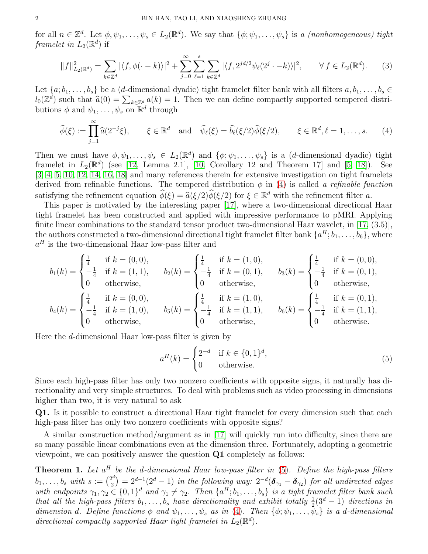for all  $n \in \mathbb{Z}^d$ . Let  $\phi, \psi_1, \ldots, \psi_s \in L_2(\mathbb{R}^d)$ . We say that  $\{\phi; \psi_1, \ldots, \psi_s\}$  is a *(nonhomogeneous) tight* framelet in  $L_2(\mathbb{R}^d)$  if

$$
||f||_{L_2(\mathbb{R}^d)}^2 = \sum_{k \in \mathbb{Z}^d} |\langle f, \phi(\cdot - k) \rangle|^2 + \sum_{j=0}^{\infty} \sum_{\ell=1}^s \sum_{k \in \mathbb{Z}^d} |\langle f, 2^{jd/2} \psi_\ell(2^j \cdot - k) \rangle|^2, \qquad \forall f \in L_2(\mathbb{R}^d). \tag{3}
$$

Let  $\{a; b_1, \ldots, b_s\}$  be a (d-dimensional dyadic) tight framelet filter bank with all filters  $a, b_1, \ldots, b_s \in$  $l_0(\mathbb{Z}^d)$  such that  $\hat{a}(0) = \sum_{k \in \mathbb{Z}^d} a(k) = 1$ . Then we can define compactly supported tempered distributions  $\phi$  and  $\psi_1, \ldots, \psi_s$  on  $\mathbb{R}^d$  through

<span id="page-1-0"></span>
$$
\widehat{\phi}(\xi) := \prod_{j=1}^{\infty} \widehat{a}(2^{-j}\xi), \qquad \xi \in \mathbb{R}^d \quad \text{and} \quad \widehat{\psi}_{\ell}(\xi) = \widehat{b_{\ell}}(\xi/2)\widehat{\phi}(\xi/2), \qquad \xi \in \mathbb{R}^d, \ell = 1, \dots, s. \tag{4}
$$

Then we must have  $\phi, \psi_1, \ldots, \psi_s \in L_2(\mathbb{R}^d)$  and  $\{\phi; \psi_1, \ldots, \psi_s\}$  is a (*d*-dimensional dyadic) tight framelet in  $L_2(\mathbb{R}^d)$  (see [\[12,](#page-7-5) Lemma 2.1], [\[10,](#page-7-6) Corollary 12 and Theorem 17] and [\[5,](#page-7-7) [18\]](#page-7-8)). See [\[3,](#page-7-9) [4,](#page-7-10) [5,](#page-7-7) [10,](#page-7-6) [12,](#page-7-5) [14,](#page-7-11) [16,](#page-7-12) [18\]](#page-7-8) and many references therein for extensive investigation on tight framelets derived from refinable functions. The tempered distribution  $\phi$  in [\(4\)](#page-1-0) is called a refinable function satisfying the refinement equation  $\hat{\phi}(\xi) = \hat{a}(\xi/2)\hat{\phi}(\xi/2)$  for  $\xi \in \mathbb{R}^d$  with the refinement filter a.<br>This game is motivated by the interesting parameter 17, where a two dimensional directional

This paper is motivated by the interesting paper [\[17\]](#page-7-4), where a two-dimensional directional Haar tight framelet has been constructed and applied with impressive performance to pMRI. Applying finite linear combinations to the standard tensor product two-dimensional Haar wavelet, in [\[17,](#page-7-4) (3.5)], the authors constructed a two-dimensional directional tight framelet filter bank  ${a<sup>H</sup>, b<sub>1</sub>, ..., b<sub>6</sub>}$ , where  $a<sup>H</sup>$  is the two-dimensional Haar low-pass filter and

$$
b_1(k) = \begin{cases} \frac{1}{4} & \text{if } k = (0,0), \\ -\frac{1}{4} & \text{if } k = (1,1), \\ 0 & \text{otherwise,} \end{cases} \qquad b_2(k) = \begin{cases} \frac{1}{4} & \text{if } k = (1,0), \\ -\frac{1}{4} & \text{if } k = (0,1), \\ 0 & \text{otherwise,} \end{cases} \qquad b_3(k) = \begin{cases} \frac{1}{4} & \text{if } k = (0,0), \\ -\frac{1}{4} & \text{if } k = (0,1), \\ 0 & \text{otherwise,} \end{cases} \qquad b_4(k) = \begin{cases} \frac{1}{4} & \text{if } k = (0,0), \\ -\frac{1}{4} & \text{if } k = (1,0), \\ 0 & \text{otherwise,} \end{cases} \qquad b_5(k) = \begin{cases} \frac{1}{4} & \text{if } k = (1,0), \\ -\frac{1}{4} & \text{if } k = (1,1), \\ 0 & \text{otherwise,} \end{cases} \qquad b_6(k) = \begin{cases} \frac{1}{4} & \text{if } k = (0,1), \\ -\frac{1}{4} & \text{if } k = (1,1), \\ 0 & \text{otherwise,} \end{cases}
$$

Here the d-dimensional Haar low-pass filter is given by

<span id="page-1-1"></span>
$$
a^{H}(k) = \begin{cases} 2^{-d} & \text{if } k \in \{0,1\}^{d}, \\ 0 & \text{otherwise.} \end{cases}
$$
 (5)

Since each high-pass filter has only two nonzero coefficients with opposite signs, it naturally has directionality and very simple structures. To deal with problems such as video processing in dimensions higher than two, it is very natural to ask

Q1. Is it possible to construct a directional Haar tight framelet for every dimension such that each high-pass filter has only two nonzero coefficients with opposite signs?

A similar construction method/argument as in [\[17\]](#page-7-4) will quickly run into difficulty, since there are so many possible linear combinations even at the dimension three. Fortunately, adopting a geometric viewpoint, we can positively answer the question Q1 completely as follows:

<span id="page-1-2"></span>**Theorem 1.** Let  $a^H$  be the d-dimensional Haar low-pass filter in  $(5)$ . Define the high-pass filters  $b_1, \ldots, b_s \text{ with } s := \binom{2^d}{2^d}$  $\mathcal{L}^{2d}_{(2)} = 2^{d-1}(2^d-1)$  in the following way:  $2^{-d}(\delta_{\gamma_1} - \delta_{\gamma_2})$  for all undirected edges with endpoints  $\gamma_1, \gamma_2 \in \{0,1\}^d$  and  $\gamma_1 \neq \gamma_2$ . Then  $\{a^H; b_1, \ldots, b_s\}$  is a tight framelet filter bank such that all the high-pass filters  $b_1, \ldots, b_s$  have directionality and exhibit totally  $\frac{1}{2}(3^d-1)$  directions in dimension d. Define functions  $\phi$  and  $\psi_1, \ldots, \psi_s$  as in [\(4\)](#page-1-0). Then  $\{\phi; \psi_1, \ldots, \psi_s\}$  is a d-dimensional directional compactly supported Haar tight framelet in  $\hat{L}_2(\mathbb{R}^d)$ .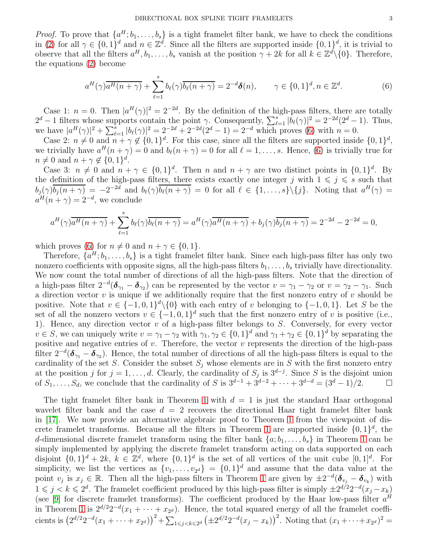*Proof.* To prove that  $\{a^H; b_1, \ldots, b_s\}$  is a tight framelet filter bank, we have to check the conditions in [\(2\)](#page-0-1) for all  $\gamma \in \{0,1\}^d$  and  $n \in \mathbb{Z}^d$ . Since all the filters are supported inside  $\{0,1\}^d$ , it is trivial to observe that all the filters  $a^H, b_1, \ldots, b_s$  vanish at the position  $\gamma + 2k$  for all  $k \in \mathbb{Z}^d \setminus \{0\}$ . Therefore, the equations [\(2\)](#page-0-1) become

<span id="page-2-0"></span>
$$
a^H(\gamma)\overline{a^H(n+\gamma)} + \sum_{\ell=1}^s b_\ell(\gamma)\overline{b_\ell(n+\gamma)} = 2^{-d}\delta(n), \qquad \gamma \in \{0,1\}^d, n \in \mathbb{Z}^d.
$$
 (6)

Case 1:  $n = 0$ . Then  $|a^H(\gamma)|^2 = 2^{-2d}$ . By the definition of the high-pass filters, there are totally  $2^d - 1$  filters whose supports contain the point  $\gamma$ . Consequently,  $\sum_{\ell=1}^s |b_\ell(\gamma)|^2 = 2^{-2d}(2^d - 1)$ . Thus, we have  $|a^H(\gamma)|^2 + \sum_{\ell=1}^s |b_\ell(\gamma)|^2 = 2^{-2d} + 2^{-2d}(2^d - 1) = 2^{-d}$  which proves [\(6\)](#page-2-0) with  $n = 0$ .

Case 2:  $n \neq 0$  and  $n + \gamma \notin \{0, 1\}^d$ . For this case, since all the filters are supported inside  $\{0, 1\}^d$ , we trivially have  $a^H(n + \gamma) = 0$  and  $b_{\ell}(n + \gamma) = 0$  for all  $\ell = 1, \ldots, s$ . Hence, [\(6\)](#page-2-0) is trivially true for  $n \neq 0$  and  $n + \gamma \notin \{0, 1\}^d$ .

Case 3:  $n \neq 0$  and  $n + \gamma \in \{0, 1\}^d$ . Then n and  $n + \gamma$  are two distinct points in  $\{0, 1\}^d$ . By the definition of the high-pass filters, there exists exactly one integer j with  $1 \leq j \leq s$  such that  $b_j(\gamma)\overline{b_j(n+\gamma)} = -2^{-2d}$  and  $b_\ell(\gamma)\overline{b_\ell(n+\gamma)} = 0$  for all  $\ell \in \{1,\ldots,s\}\setminus\{j\}$ . Noting that  $a^H(\gamma) =$  $a^H(n + \gamma) = 2^{-d}$ , we conclude

$$
a^{H}(\gamma)\overline{a^{H}(n+\gamma)} + \sum_{\ell=1}^{s} b_{\ell}(\gamma)\overline{b_{\ell}(n+\gamma)} = a^{H}(\gamma)\overline{a^{H}(n+\gamma)} + b_{j}(\gamma)\overline{b_{j}(n+\gamma)} = 2^{-2d} - 2^{-2d} = 0,
$$

which proves [\(6\)](#page-2-0) for  $n \neq 0$  and  $n + \gamma \in \{0, 1\}.$ 

Therefore,  $\{a^H; b_1, \ldots, b_s\}$  is a tight framelet filter bank. Since each high-pass filter has only two nonzero coefficients with opposite signs, all the high-pass filters  $b_1, \ldots, b_s$  trivially have directionality. We now count the total number of directions of all the high-pass filters. Note that the direction of a high-pass filter  $2^{-d}(\delta_{\gamma_1}-\delta_{\gamma_2})$  can be represented by the vector  $v=\gamma_1-\gamma_2$  or  $v=\gamma_2-\gamma_1$ . Such a direction vector  $v$  is unique if we additionally require that the first nonzero entry of  $v$  should be positive. Note that  $v \in \{-1, 0, 1\}^d \setminus \{0\}$  with each entry of v belonging to  $\{-1, 0, 1\}$ . Let S be the set of all the nonzero vectors  $v \in \{-1,0,1\}^d$  such that the first nonzero entry of v is positive (i.e., 1). Hence, any direction vector v of a high-pass filter belongs to S. Conversely, for every vector  $v \in S$ , we can uniquely write  $v = \gamma_1 - \gamma_2$  with  $\gamma_1, \gamma_2 \in \{0, 1\}^d$  and  $\gamma_1 + \gamma_2 \in \{0, 1\}^d$  by separating the positive and negative entries of  $v$ . Therefore, the vector  $v$  represents the direction of the high-pass filter  $2^{-d}(\delta_{\gamma_1}-\delta_{\gamma_2})$ . Hence, the total number of directions of all the high-pass filters is equal to the cardinality of the set S. Consider the subset  $S_j$  whose elements are in S with the first nonzero entry at the position j for  $j = 1, \ldots, d$ . Clearly, the cardinality of  $S_j$  is  $3^{d-j}$ . Since S is the disjoint union of  $S_1, \ldots, S_d$ , we conclude that the cardinality of S is  $3^{d-1} + 3^{d-2} + \cdots + 3^{d-d} = (3^d - 1)/2$ .  $\Box$ 

The tight frame let filter bank in Theorem [1](#page-1-2) with  $d = 1$  is just the standard Haar orthogonal wavelet filter bank and the case  $d = 2$  recovers the directional Haar tight framelet filter bank in [\[17\]](#page-7-4). We now provide an alternative algebraic proof to Theorem [1](#page-1-2) from the viewpoint of dis-crete framelet transforms. Because all the filters in Theorem [1](#page-1-2) are supported inside  $\{0, 1\}^d$ , the d-dimensional discrete framelet transform using the filter bank  $\{a; b_1, \ldots, b_s\}$  in Theorem [1](#page-1-2) can be simply implemented by applying the discrete framelet transform acting on data supported on each disjoint  $\{0,1\}^d + 2k$ ,  $k \in \mathbb{Z}^d$ , where  $\{0,1\}^d$  is the set of all vertices of the unit cube  $[0,1]^d$ . For simplicity, we list the vertices as  $\{v_1, \ldots, v_{2^d}\} = \{0, 1\}^d$  and assume that the data value at the point  $v_j$  is  $x_j \in \mathbb{R}$ . Then all the high-pass filters in Theorem [1](#page-1-2) are given by  $\pm 2^{-d}$   $(\delta_{v_j} - \delta_{v_k})$  with  $1 \leq j \leq k \leq 2^d$ . The framelet coefficient produced by this high-pass filter is simply  $\pm 2^{d/2}2^{-d}(x_j - x_k)$ (see [\[9\]](#page-7-2) for discrete framelet transforms). The coefficient produced by the Haar low-pass filter  $a<sup>H</sup>$ in Theorem [1](#page-1-2) is  $2^{d/2}2^{-d}(x_1 + \cdots + x_{2^d})$ . Hence, the total squared energy of all the framelet coefficients is  $(2^{d/2}2^{-d}(x_1 + \cdots + x_{2^d}))^2 + \sum_{1 \leq j < k \leq 2^d} \left(\pm 2^{d/2}2^{-d}(x_j - x_k)\right)^2$ . Noting that  $(x_1 + \cdots + x_{2^d})^2 =$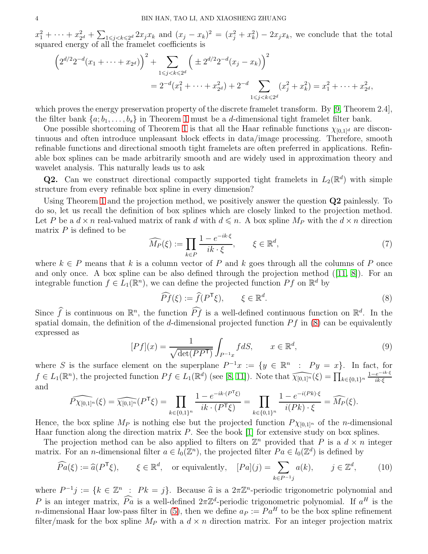$x_1^2 + \cdots + x_2^2$  $\sum_{1 \leq j \leq k \leq 2^d} 2x_j x_k$  and  $(x_j - x_k)^2 = (x_j^2 + x_k^2) - 2x_j x_k$ , we conclude that the total squared energy of all the framelet coefficients is

$$
\left(2^{d/2}2^{-d}(x_1 + \dots + x_{2^d})\right)^2 + \sum_{1 \le j < k \le 2^d} \left(\pm 2^{d/2}2^{-d}(x_j - x_k)\right)^2
$$
\n
$$
= 2^{-d}(x_1^2 + \dots + x_{2^d}^2) + 2^{-d} \sum_{1 \le j < k \le 2^d} (x_j^2 + x_k^2) = x_1^2 + \dots + x_{2^d}^2,
$$

which proves the energy preservation property of the discrete framelet transform. By [\[9,](#page-7-2) Theorem 2.4], the filter bank  $\{a; b_1, \ldots, b_s\}$  in Theorem [1](#page-1-2) must be a *d*-dimensional tight framelet filter bank.

One possible shortcoming of Theorem [1](#page-1-2) is that all the Haar refinable functions  $\chi_{[0,1]^d}$  are discontinuous and often introduce unpleasant block effects in data/image processing. Therefore, smooth refinable functions and directional smooth tight framelets are often preferred in applications. Refinable box splines can be made arbitrarily smooth and are widely used in approximation theory and wavelet analysis. This naturally leads us to ask

**Q2.** Can we construct directional compactly supported tight framelets in  $L_2(\mathbb{R}^d)$  with simple structure from every refinable box spline in every dimension?

Using Theorem [1](#page-1-2) and the projection method, we positively answer the question Q2 painlessly. To do so, let us recall the definition of box splines which are closely linked to the projection method. Let P be a  $d \times n$  real-valued matrix of rank d with  $d \leq n$ . A box spline  $M_P$  with the  $d \times n$  direction matrix  $P$  is defined to be

<span id="page-3-1"></span>
$$
\widehat{M_P}(\xi) := \prod_{k \in P} \frac{1 - e^{-ik \cdot \xi}}{ik \cdot \xi}, \qquad \xi \in \mathbb{R}^d,
$$
\n
$$
(7)
$$

where  $k \in P$  means that k is a column vector of P and k goes through all the columns of P once and only once. A box spline can be also defined through the projection method ([\[11,](#page-7-13) [8\]](#page-7-14)). For an integrable function  $f \in L_1(\mathbb{R}^n)$ , we can define the projected function  $Pf$  on  $\mathbb{R}^d$  by

<span id="page-3-0"></span>
$$
\widehat{Pf}(\xi) := \widehat{f}(P^{\mathsf{T}}\xi), \qquad \xi \in \mathbb{R}^d. \tag{8}
$$

Since  $\widehat{f}$  is continuous on  $\mathbb{R}^n$ , the function  $\widehat{P}f$  is a well-defined continuous function on  $\mathbb{R}^d$ . In the spatial domain, the definition of the d-dimensional projected function  $Pf$  in [\(8\)](#page-3-0) can be equivalently expressed as

$$
[Pf](x) = \frac{1}{\sqrt{\det(PP^{\mathsf{T}})}} \int_{P^{-1}x} f dS, \qquad x \in \mathbb{R}^d,
$$
\n(9)

where S is the surface element on the superplane  $P^{-1}x := \{y \in \mathbb{R}^n : P y = x\}$ . In fact, for  $f \in L_1(\mathbb{R}^n)$ , the projected function  $Pf \in L_1(\mathbb{R}^d)$  (see [\[8,](#page-7-14) [11\]](#page-7-13)). Note that  $\widehat{\chi_{[0,1]^n}}(\xi) = \prod_{k \in \{0,1\}^n}$  $\frac{1-e^{-ik\cdot\xi}}{i!}$ ik·ξ and

$$
\widehat{P\chi_{[0,1]^n}}(\xi) = \widehat{\chi_{[0,1]^n}}(P^{\sf T}\xi) = \prod_{k \in \{0,1\}^n} \frac{1 - e^{-ik \cdot (P^{\sf T}\xi)}}{ik \cdot (P^{\sf T}\xi)} = \prod_{k \in \{0,1\}^n} \frac{1 - e^{-i(Pk) \cdot \xi}}{i(Pk) \cdot \xi} = \widehat{M_P}(\xi).
$$

Hence, the box spline  $M_P$  is nothing else but the projected function  $P \chi_{[0,1]^n}$  of the *n*-dimensional Haar function along the direction matrix  $P$ . See the book [\[1\]](#page-7-15) for extensive study on box splines.

The projection method can be also applied to filters on  $\mathbb{Z}^n$  provided that P is a  $d \times n$  integer matrix. For an *n*-dimensional filter  $a \in l_0(\mathbb{Z}^n)$ , the projected filter  $Pa \in l_0(\mathbb{Z}^d)$  is defined by

<span id="page-3-2"></span>
$$
\widehat{Pa}(\xi) := \widehat{a}(P^{\mathsf{T}}\xi), \qquad \xi \in \mathbb{R}^d, \quad \text{or equivalently,} \quad [Pa](j) = \sum_{k \in P^{-1}j} a(k), \qquad j \in \mathbb{Z}^d, \tag{10}
$$

where  $P^{-1}j := \{k \in \mathbb{Z}^n : Pk = j\}$ . Because  $\widehat{a}$  is a  $2\pi \mathbb{Z}^n$ -periodic trigonometric polynomial and P is an integer matrix,  $\widehat{Pa}$  is a well-defined  $2\pi\mathbb{Z}^d$ -periodic trigonometric polynomial. If  $a^H$  is the n-dimensional Haar low-pass filter in [\(5\)](#page-1-1), then we define  $a_P := Pa^H$  to be the box spline refinement filter/mask for the box spline  $M_P$  with a  $d \times n$  direction matrix. For an integer projection matrix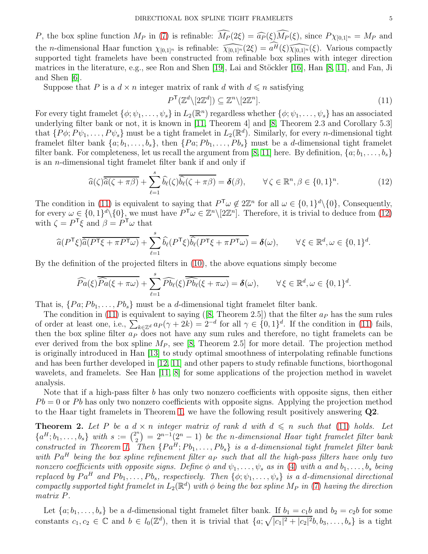P, the box spline function  $M_P$  in [\(7\)](#page-3-1) is refinable:  $\widehat{M_P}(2\xi) = \widehat{a_P}(\xi)\widehat{M_P}(\xi)$ , since  $P\chi_{[0,1]^n} = M_P$  and the *n*-dimensional Haar function  $\chi_{[0,1]^n}$  is refinable:  $\widehat{\chi_{[0,1]^n}}(2\xi) = a^{\widehat{H}}(\xi)\widehat{\chi_{[0,1]^n}}(\xi)$ . Various compactly supported tight framelets have been constructed from refinable box splines with integer direction matrices in the literature, e.g., see Ron and Shen [\[19\]](#page-7-16), Lai and Stöckler [\[16\]](#page-7-12), Han [\[8,](#page-7-14) [11\]](#page-7-13), and Fan, Ji and Shen [\[6\]](#page-7-17).

Suppose that P is a  $d \times n$  integer matrix of rank d with  $d \leq n$  satisfying

<span id="page-4-0"></span>
$$
P^{\mathsf{T}}(\mathbb{Z}^d \setminus [2\mathbb{Z}^d]) \subseteq \mathbb{Z}^n \setminus [2\mathbb{Z}^n].\tag{11}
$$

For every tight framelet  $\{\phi; \psi_1, \ldots, \psi_s\}$  in  $L_2(\mathbb{R}^n)$  regardless whether  $\{\phi; \psi_1, \ldots, \psi_s\}$  has an associated underlying filter bank or not, it is known in [\[11,](#page-7-13) Theorem 4] and [\[8,](#page-7-14) Theorem 2.3 and Corollary 5.3] that  $\{P\phi; P\psi_1, \ldots, P\psi_s\}$  must be a tight framelet in  $L_2(\mathbb{R}^d)$ . Similarly, for every *n*-dimensional tight framelet filter bank  $\{a; b_1, \ldots, b_s\}$ , then  $\{Pa; Pb_1, \ldots, Pb_s\}$  must be a *d*-dimensional tight framelet filter bank. For completeness, let us recall the argument from [\[8,](#page-7-14) [11\]](#page-7-13) here. By definition,  $\{a; b_1, \ldots, b_s\}$ is an n-dimensional tight framelet filter bank if and only if

<span id="page-4-1"></span>
$$
\widehat{a}(\zeta)\overline{\widehat{a}(\zeta+\pi\beta)}+\sum_{\ell=1}^s\widehat{b_\ell}(\zeta)\overline{\widehat{b_\ell}(\zeta+\pi\beta)}=\delta(\beta), \qquad \forall \zeta\in\mathbb{R}^n, \beta\in\{0,1\}^n. \tag{12}
$$

The condition in [\(11\)](#page-4-0) is equivalent to saying that  $P^{\mathsf{T}} \omega \notin 2\mathbb{Z}^n$  for all  $\omega \in \{0,1\}^d \setminus \{0\}$ , Consequently, for every  $\omega \in \{0,1\}^d \setminus \{0\}$ , we must have  $P^{\mathsf{T}}\omega \in \mathbb{Z}^n \setminus [2\mathbb{Z}^n]$ . Therefore, it is trivial to deduce from  $(12)$ with  $\zeta = P^{\mathsf{T}} \xi$  and  $\beta = P^{\mathsf{T}} \omega$  that

$$
\widehat{a}(P^{\mathsf{T}}\xi)\overline{\widehat{a}(P^{\mathsf{T}}\xi+\pi P^{\mathsf{T}}\omega)}+\sum_{\ell=1}^{s}\widehat{b_{\ell}}(P^{\mathsf{T}}\xi)\overline{\widehat{b_{\ell}}(P^{\mathsf{T}}\xi+\pi P^{\mathsf{T}}\omega)}=\boldsymbol{\delta}(\omega),\qquad\forall\,\xi\in\mathbb{R}^{d},\omega\in\{0,1\}^{d}.
$$

By the definition of the projected filters in [\(10\)](#page-3-2), the above equations simply become

$$
\widehat{Pa}(\xi)\overline{\widehat{Pa}(\xi+\pi\omega)}+\sum_{\ell=1}^s\widehat{Pb_{\ell}}(\xi)\overline{\widehat{Pb_{\ell}}(\xi+\pi\omega)}=\boldsymbol{\delta}(\omega),\qquad\forall\,\xi\in\mathbb{R}^d,\omega\in\{0,1\}^d.
$$

That is,  $\{Pa; Pb_1, \ldots, Pb_s\}$  must be a d-dimensional tight framelet filter bank.

The condition in [\(11\)](#page-4-0) is equivalent to saying ([\[8,](#page-7-14) Theorem 2.5]) that the filter  $a<sub>P</sub>$  has the sum rules of order at least one, i.e.,  $\sum_{k\in\mathbb{Z}^d} a_P(\gamma + 2k) = 2^{-d}$  for all  $\gamma \in \{0,1\}^d$ . If the condition in [\(11\)](#page-4-0) fails, then the box spline filter  $a<sub>P</sub>$  does not have any sum rules and therefore, no tight framelets can be ever derived from the box spline  $M_P$ , see [\[8,](#page-7-14) Theorem 2.5] for more detail. The projection method is originally introduced in Han [\[13\]](#page-7-18) to study optimal smoothness of interpolating refinable functions and has been further developed in [\[12,](#page-7-5) [11\]](#page-7-13) and other papers to study refinable functions, biorthogonal wavelets, and framelets. See Han [\[11,](#page-7-13) [8\]](#page-7-14) for some applications of the projection method in wavelet analysis.

Note that if a high-pass filter b has only two nonzero coefficients with opposite signs, then either  $Pb = 0$  or Pb has only two nonzero coefficients with opposite signs. Applying the projection method to the Haar tight framelets in Theorem [1,](#page-1-2) we have the following result positively answering Q2.

<span id="page-4-2"></span>**Theorem 2.** Let P be a  $d \times n$  integer matrix of rank d with  $d \leq n$  such that [\(11\)](#page-4-0) holds. Let  ${a<sup>H</sup>; b<sub>1</sub>, ..., b<sub>s</sub>}$  with  $s := {2^n \choose 2}$  $\binom{n^n}{2} = 2^{n-1}(2^n - 1)$  be the n-dimensional Haar tight framelet filter bank constructed in Theorem [1.](#page-1-2) Then  $\{Pa^H, Pb_1, \ldots, Pb_s\}$  is a d-dimensional tight framelet filter bank with  $Pa<sup>H</sup>$  being the box spline refinement filter  $a<sub>P</sub>$  such that all the high-pass filters have only two nonzero coefficients with opposite signs. Define  $\phi$  and  $\psi_1, \ldots, \psi_s$  as in [\(4\)](#page-1-0) with a and  $b_1, \ldots, b_s$  being replaced by  $Pa^H$  and  $Pb_1, \ldots, Pb_s$ , respectively. Then  $\{\phi; \psi_1, \ldots, \psi_s\}$  is a d-dimensional directional compactly supported tight framelet in  $L_2(\mathbb{R}^d)$  with  $\phi$  being the box spline M<sub>P</sub> in [\(7\)](#page-3-1) having the direction matrix P.

Let  $\{a; b_1, \ldots, b_s\}$  be a d-dimensional tight framelet filter bank. If  $b_1 = c_1b$  and  $b_2 = c_2b$  for some constants  $c_1, c_2 \in \mathbb{C}$  and  $b \in l_0(\mathbb{Z}^d)$ , then it is trivial that  $\{a; \sqrt{|c_1|^2+|c_2|^2}b, b_3, \ldots, b_s\}$  is a tight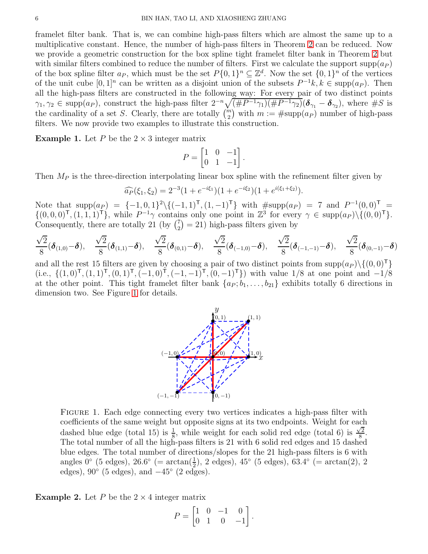framelet filter bank. That is, we can combine high-pass filters which are almost the same up to a multiplicative constant. Hence, the number of high-pass filters in Theorem [2](#page-4-2) can be reduced. Now we provide a geometric construction for the box spline tight framelet filter bank in Theorem [2](#page-4-2) but with similar filters combined to reduce the number of filters. First we calculate the support supp $(a_P)$ of the box spline filter  $a_P$ , which must be the set  $P\{0,1\}^n \subseteq \mathbb{Z}^d$ . Now the set  $\{0,1\}^n$  of the vertices of the unit cube  $[0,1]^n$  can be written as a disjoint union of the subsets  $P^{-1}k$ ,  $k \in \text{supp}(a_P)$ . Then all the high-pass filters are constructed in the following way: For every pair of two distinct points  $\gamma_1, \gamma_2 \in \text{supp}(a_P)$ , construct the high-pass filter  $2^{-n} \sqrt{\frac{4P^{-1}\gamma_1}{4P^{-1}\gamma_1}} \sqrt{\frac{4P^{-1}\gamma_2}{4P^{-1}\gamma_2}} \delta_{\gamma_1} - \delta_{\gamma_2}$ , where  $\#S$  is the cardinality of a set S. Clearly, there are totally  $\binom{m}{2}$  with  $m := \#\text{supp}(a_P)$  number of high-pass filters. We now provide two examples to illustrate this construction.

**Example 1.** Let P be the  $2 \times 3$  integer matrix

$$
P = \begin{bmatrix} 1 & 0 & -1 \\ 0 & 1 & -1 \end{bmatrix}.
$$

Then  $M_P$  is the three-direction interpolating linear box spline with the refinement filter given by

$$
\widehat{a_P}(\xi_1, \xi_2) = 2^{-3} (1 + e^{-i\xi_1}) (1 + e^{-i\xi_2}) (1 + e^{i(\xi_1 + \xi_2)}).
$$

Note that  $\text{supp}(a_P) = \{-1, 0, 1\}^2 \setminus \{(-1, 1)^T, (1, -1)^T\}$  with  $\# \text{supp}(a_P) = 7$  and  $P^{-1}(0, 0)^T =$  $\{(0,0,0)^{\mathsf{T}},(1,1,1)^{\mathsf{T}}\},\$  while  $P^{-1}\gamma$  contains only one point in  $\mathbb{Z}^3$  for every  $\gamma \in \text{supp}(a_P)\setminus\{(0,0)^{\mathsf{T}}\}.$ Consequently, there are totally 21 (by  $\binom{7}{2}$  $2\binom{7}{2} = 21$ ) high-pass filters given by

$$
\frac{\sqrt{2}}{8}(\boldsymbol{\delta}_{(1,0)}-\boldsymbol{\delta}), \quad \frac{\sqrt{2}}{8}(\boldsymbol{\delta}_{(1,1)}-\boldsymbol{\delta}), \quad \frac{\sqrt{2}}{8}(\boldsymbol{\delta}_{(0,1)}-\boldsymbol{\delta}), \quad \frac{\sqrt{2}}{8}(\boldsymbol{\delta}_{(-1,0)}-\boldsymbol{\delta}), \quad \frac{\sqrt{2}}{8}(\boldsymbol{\delta}_{(-1,-1)}-\boldsymbol{\delta}), \quad \frac{\sqrt{2}}{8}(\boldsymbol{\delta}_{(0,-1)}-\boldsymbol{\delta})
$$

and all the rest 15 filters are given by choosing a pair of two distinct points from  $\text{supp}(a_P) \setminus \{(0, 0)^T\}$ (i.e.,  $\{(1,0)^\mathsf{T},(1,1)^\mathsf{T},(0,1)^\mathsf{T},(-1,0)^\mathsf{T},(-1,-1)^\mathsf{T},(0,-1)^\mathsf{T}\}\)$  with value 1/8 at one point and −1/8 at the other point. This tight framelet filter bank  $\{a_P; b_1, \ldots, b_{21}\}$  exhibits totally 6 directions in dimension two. See Figure [1](#page-5-0) for details.



<span id="page-5-0"></span>FIGURE 1. Each edge connecting every two vertices indicates a high-pass filter with coefficients of the same weight but opposite signs at its two endpoints. Weight for each dashed blue edge (total 15) is  $\frac{1}{8}$ , while weight for each solid red edge (total 6) is  $\frac{\sqrt{2}}{8}$  $\frac{2}{8}$ . The total number of all the high-pass filters is 21 with 6 solid red edges and 15 dashed blue edges. The total number of directions/slopes for the 21 high-pass filters is 6 with angles  $0^{\circ}$  (5 edges),  $26.6^{\circ}$  (=  $\arctan(\frac{1}{2})$ , 2 edges),  $45^{\circ}$  (5 edges),  $63.4^{\circ}$  (=  $\arctan(2)$ , 2 edges),  $90^{\circ}$  (5 edges), and  $-45^{\circ}$  (2 edges).

<span id="page-5-1"></span>**Example 2.** Let P be the  $2 \times 4$  integer matrix

$$
P = \begin{bmatrix} 1 & 0 & -1 & 0 \\ 0 & 1 & 0 & -1 \end{bmatrix}.
$$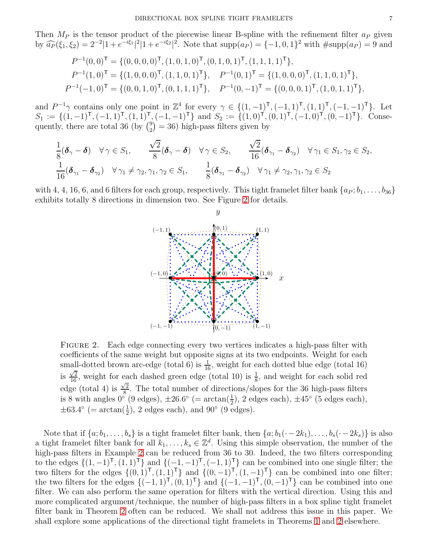Then  $M_P$  is the tensor product of the piecewise linear B-spline with the refinement filter  $a_P$  given by  $\widehat{a_P}(\xi_1, \xi_2) = 2^{-2}|1 + e^{-i\xi_1}|^2|1 + e^{-i\xi_2}|^2$ . Note that  $\text{supp}(a_P) = \{-1, 0, 1\}^2$  with  $\#\text{supp}(a_P) = 9$  and

$$
P^{-1}(0,0)^{\mathsf{T}} = \{(0,0,0,0)^{\mathsf{T}}, (1,0,1,0)^{\mathsf{T}}, (0,1,0,1)^{\mathsf{T}}, (1,1,1,1)^{\mathsf{T}}\},
$$
  
\n
$$
P^{-1}(1,0)^{\mathsf{T}} = \{(1,0,0,0)^{\mathsf{T}}, (1,1,0,1)^{\mathsf{T}}\}, \quad P^{-1}(0,1)^{\mathsf{T}} = \{(1,0,0,0)^{\mathsf{T}}, (1,1,0,1)^{\mathsf{T}}\},
$$
  
\n
$$
P^{-1}(-1,0)^{\mathsf{T}} = \{(0,0,1,0)^{\mathsf{T}}, (0,1,1,1)^{\mathsf{T}}\}, \quad P^{-1}(0,-1)^{\mathsf{T}} = \{(0,0,0,1)^{\mathsf{T}}, (1,0,1,1)^{\mathsf{T}}\},
$$

and  $P^{-1}\gamma$  contains only one point in  $\mathbb{Z}^4$  for every  $\gamma \in \{(1,-1)^{\mathsf{T}},(-1,1)^{\mathsf{T}},(1,1)^{\mathsf{T}},(-1,-1)^{\mathsf{T}}\}$ . Let  $S_1 := \{(1, -1)^{\mathsf{T}}, (-1, 1)^{\mathsf{T}}, (1, 1)^{\mathsf{T}}, (1, -1)^{\mathsf{T}}\}$  and  $S_2 := \{(1, 0)^{\mathsf{T}}, (0, 1)^{\mathsf{T}}, (-1, 0)^{\mathsf{T}}, (0, -1)^{\mathsf{T}}\}$ . Consequently, there are total 36 (by  $\binom{9}{2}$  $\binom{9}{2}$  = 36) high-pass filters given by

$$
\frac{1}{8}(\boldsymbol{\delta}_{\gamma}-\boldsymbol{\delta}) \quad \forall \, \gamma \in S_1, \qquad \frac{\sqrt{2}}{8}(\boldsymbol{\delta}_{\gamma}-\boldsymbol{\delta}) \quad \forall \, \gamma \in S_2, \qquad \frac{\sqrt{2}}{16}(\boldsymbol{\delta}_{\gamma_1}-\boldsymbol{\delta}_{\gamma_2}) \quad \forall \, \gamma_1 \in S_1, \gamma_2 \in S_2, \frac{1}{16}(\boldsymbol{\delta}_{\gamma_1}-\boldsymbol{\delta}_{\gamma_2}) \quad \forall \, \gamma_1 \neq \gamma_2, \gamma_1, \gamma_2 \in S_1, \qquad \frac{1}{8}(\boldsymbol{\delta}_{\gamma_1}-\boldsymbol{\delta}_{\gamma_2}) \quad \forall \, \gamma_1 \neq \gamma_2, \gamma_1, \gamma_2 \in S_2
$$

with 4, 4, 16, 6, and 6 filters for each group, respectively. This tight framelet filter bank  $\{a_P; b_1, \ldots, b_{36}\}\$ exhibits totally 8 directions in dimension two. See Figure [2](#page-6-0) for details.



<span id="page-6-0"></span>FIGURE 2. Each edge connecting every two vertices indicates a high-pass filter with coefficients of the same weight but opposite signs at its two endpoints. Weight for each small-dotted brown arc-edge (total 6) is  $\frac{1}{16}$ , weight for each dotted blue edge (total 16) is  $\frac{\sqrt{2}}{16}$ , weight for each dashed green edge (total 10) is  $\frac{1}{8}$ , and weight for each solid red edge (total 4) is  $\frac{\sqrt{2}}{8}$  $\frac{1}{8}$ . The total number of directions/slopes for the 36 high-pass filters is 8 with angles  $0^{\circ}$  (9 edges),  $\pm 26.6^{\circ}$  (=  $\arctan(\frac{1}{2})$ , 2 edges each),  $\pm 45^{\circ}$  (5 edges each),  $\pm 63.4^{\circ}$  (=  $\arctan(\frac{1}{2})$ , 2 edges each), and 90° (9 edges).

Note that if  $\{a; b_1, \ldots, b_s\}$  is a tight framelet filter bank, then  $\{a; b_1(\cdot - 2k_1), \ldots, b_s(\cdot - 2k_s)\}$  is also a tight framelet filter bank for all  $k_1, \ldots, k_s \in \mathbb{Z}^d$ . Using this simple observation, the number of the high-pass filters in Example [2](#page-5-1) can be reduced from 36 to 30. Indeed, the two filters corresponding to the edges  $\{(1, -1)^{\mathsf{T}}, (1, 1)^{\mathsf{T}}\}$  and  $\{(-1, -1)^{\mathsf{T}}, (-1, 1)^{\mathsf{T}}\}$  can be combined into one single filter; the two filters for the edges  $\{(0,1)^T,(1,1)^T\}$  and  $\{(0,-1)^T,(1,-1)^T\}$  can be combined into one filter; the two filters for the edges  ${(-1, 1)<sup>T</sup>, (0, 1)<sup>T</sup>}$  and  ${(-1, -1)<sup>T</sup>, (0, -1)<sup>T</sup>}$  can be combined into one filter. We can also perform the same operation for filters with the vertical direction. Using this and more complicated argument/technique, the number of high-pass filters in a box spline tight framelet filter bank in Theorem [2](#page-4-2) often can be reduced. We shall not address this issue in this paper. We shall explore some applications of the directional tight framelets in Theorems [1](#page-1-2) and [2](#page-4-2) elsewhere.